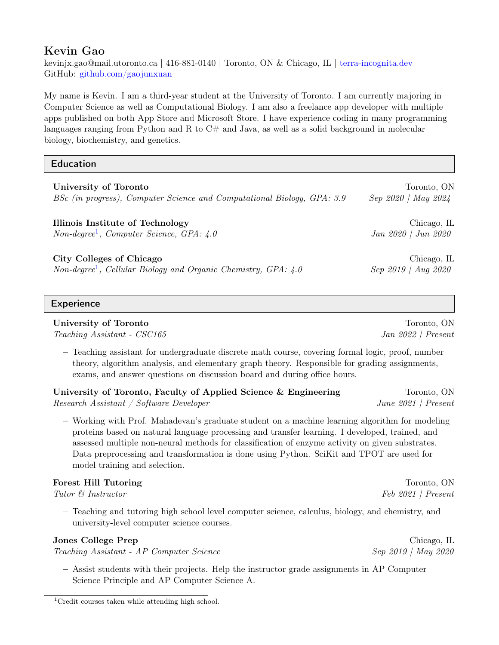# Kevin Gao

kevinjx.gao@mail.utoronto.ca | 416-881-0140 | Toronto, ON & Chicago, IL | [terra-incognita.dev](http://terra-incognita.dev) GitHub: [github.com/gaojunxuan](https://github.com/gaojunxuan)

My name is Kevin. I am a third-year student at the University of Toronto. I am currently majoring in Computer Science as well as Computational Biology. I am also a freelance app developer with multiple apps published on both App Store and Microsoft Store. I have experience coding in many programming languages ranging from Python and R to  $C#$  and Java, as well as a solid background in molecular biology, biochemistry, and genetics.

# Education

| University of Toronto                                                        | Toronto, ON         |
|------------------------------------------------------------------------------|---------------------|
| BSc (in progress), Computer Science and Computational Biology, GPA: 3.9      | Sep 2020   May 2024 |
| Illinois Institute of Technology                                             | Chicago, IL         |
| $Non-degree1$ , Computer Science, GPA: $4.0$                                 | Jan 2020   Jun 2020 |
| City Colleges of Chicago                                                     | Chicago, IL         |
| Non-degree <sup>1</sup> , Cellular Biology and Organic Chemistry, GPA: $4.0$ | Sep 2019   Aug 2020 |

# **Experience**

# University of Toronto **The Context of Toronto** Toronto, ON

Teaching Assistant - CSC165 Jan 2022 | Present

– Teaching assistant for undergraduate discrete math course, covering formal logic, proof, number theory, algorithm analysis, and elementary graph theory. Responsible for grading assignments, exams, and answer questions on discussion board and during office hours.

# University of Toronto, Faculty of Applied Science & Engineering Toronto, ON Research Assistant / Software Developer June 2021 | Present

– Working with Prof. Mahadevan's graduate student on a machine learning algorithm for modeling proteins based on natural language processing and transfer learning. I developed, trained, and assessed multiple non-neural methods for classification of enzyme activity on given substrates. Data preprocessing and transformation is done using Python. SciKit and TPOT are used for model training and selection.

# Forest Hill Tutoring Toronto, ON

Tutor & Instructor Feb 2021 | Present

– Teaching and tutoring high school level computer science, calculus, biology, and chemistry, and university-level computer science courses.

# Jones College Prep Chicago, IL

Teaching Assistant - AP Computer Science Sep 2019 | May 2020

– Assist students with their projects. Help the instructor grade assignments in AP Computer Science Principle and AP Computer Science A.

<span id="page-0-0"></span><sup>&</sup>lt;sup>1</sup>Credit courses taken while attending high school.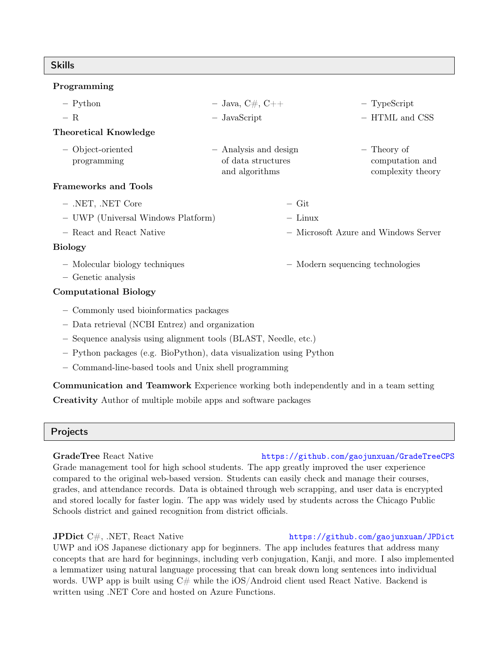## Skills

## Programming

| $-$ Python                         | $-$ Java, C#, C++                                             | $-$ TypeScript                                      |
|------------------------------------|---------------------------------------------------------------|-----------------------------------------------------|
| $- R$                              | $-$ JavaScript                                                | - HTML and CSS                                      |
| Theoretical Knowledge              |                                                               |                                                     |
| - Object-oriented<br>programming   | - Analysis and design<br>of data structures<br>and algorithms | - Theory of<br>computation and<br>complexity theory |
| Frameworks and Tools               |                                                               |                                                     |
| $-$ .NET, .NET Core                | $-$ Git                                                       |                                                     |
| - UWP (Universal Windows Platform) | $-$ Linux                                                     |                                                     |
| - React and React Native           |                                                               | - Microsoft Azure and Windows Server                |
| <b>Biology</b>                     |                                                               |                                                     |
| - Molecular biology techniques     |                                                               | - Modern sequencing technologies                    |

– Genetic analysis

## Computational Biology

- Commonly used bioinformatics packages
- Data retrieval (NCBI Entrez) and organization
- Sequence analysis using alignment tools (BLAST, Needle, etc.)
- Python packages (e.g. BioPython), data visualization using Python
- Command-line-based tools and Unix shell programming

Communication and Teamwork Experience working both independently and in a team setting Creativity Author of multiple mobile apps and software packages

### Projects

### GradeTree React Native <https://github.com/gaojunxuan/GradeTreeCPS>

Grade management tool for high school students. The app greatly improved the user experience compared to the original web-based version. Students can easily check and manage their courses, grades, and attendance records. Data is obtained through web scrapping, and user data is encrypted and stored locally for faster login. The app was widely used by students across the Chicago Public Schools district and gained recognition from district officials.

UWP and iOS Japanese dictionary app for beginners. The app includes features that address many concepts that are hard for beginnings, including verb conjugation, Kanji, and more. I also implemented a lemmatizer using natural language processing that can break down long sentences into individual words. UWP app is built using  $C#$  while the iOS/Android client used React Native. Backend is written using .NET Core and hosted on Azure Functions.

## JPDict C#, .NET, React Native <https://github.com/gaojunxuan/JPDict>